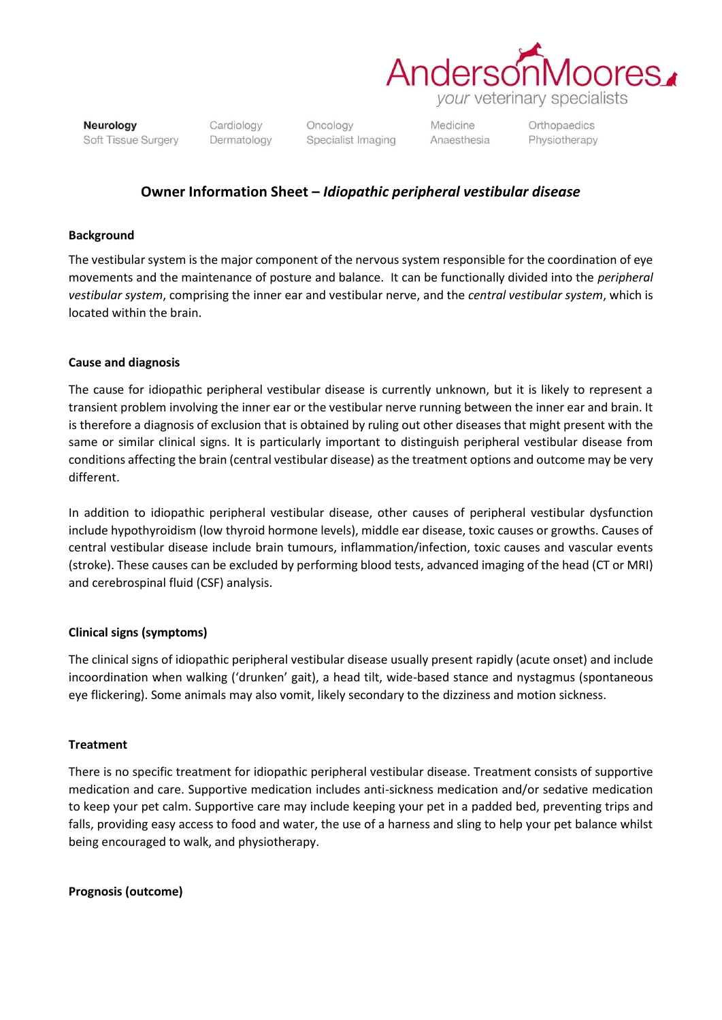

Neurology Soft Tissue Surgery Cardiology Dermatology

Oncology Specialist Imaging Medicine Anaesthesia Orthopaedics Physiotherapy

## **Owner Information Sheet –** *Idiopathic peripheral vestibular disease*

#### **Background**

The vestibular system is the major component of the nervous system responsible for the coordination of eye movements and the maintenance of posture and balance. It can be functionally divided into the *peripheral vestibular system*, comprising the inner ear and vestibular nerve, and the *central vestibular system*, which is located within the brain.

### **Cause and diagnosis**

The cause for idiopathic peripheral vestibular disease is currently unknown, but it is likely to represent a transient problem involving the inner ear or the vestibular nerve running between the inner ear and brain. It is therefore a diagnosis of exclusion that is obtained by ruling out other diseases that might present with the same or similar clinical signs. It is particularly important to distinguish peripheral vestibular disease from conditions affecting the brain (central vestibular disease) as the treatment options and outcome may be very different.

In addition to idiopathic peripheral vestibular disease, other causes of peripheral vestibular dysfunction include hypothyroidism (low thyroid hormone levels), middle ear disease, toxic causes or growths. Causes of central vestibular disease include brain tumours, inflammation/infection, toxic causes and vascular events (stroke). These causes can be excluded by performing blood tests, advanced imaging of the head (CT or MRI) and cerebrospinal fluid (CSF) analysis.

#### **Clinical signs (symptoms)**

The clinical signs of idiopathic peripheral vestibular disease usually present rapidly (acute onset) and include incoordination when walking ('drunken' gait), a head tilt, wide-based stance and nystagmus (spontaneous eye flickering). Some animals may also vomit, likely secondary to the dizziness and motion sickness.

#### **Treatment**

There is no specific treatment for idiopathic peripheral vestibular disease. Treatment consists of supportive medication and care. Supportive medication includes anti-sickness medication and/or sedative medication to keep your pet calm. Supportive care may include keeping your pet in a padded bed, preventing trips and falls, providing easy access to food and water, the use of a harness and sling to help your pet balance whilst being encouraged to walk, and physiotherapy.

#### **Prognosis (outcome)**